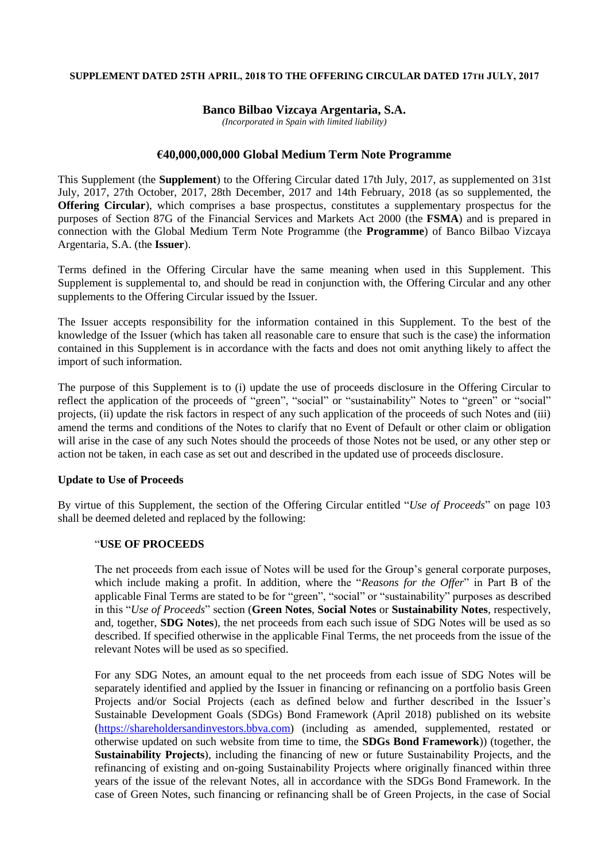#### **SUPPLEMENT DATED 25TH APRIL, 2018 TO THE OFFERING CIRCULAR DATED 17TH JULY, 2017**

#### **Banco Bilbao Vizcaya Argentaria, S.A.**

*(Incorporated in Spain with limited liability)*

# **€40,000,000,000 Global Medium Term Note Programme**

This Supplement (the **Supplement**) to the Offering Circular dated 17th July, 2017, as supplemented on 31st July, 2017, 27th October, 2017, 28th December, 2017 and 14th February, 2018 (as so supplemented, the **Offering Circular**), which comprises a base prospectus, constitutes a supplementary prospectus for the purposes of Section 87G of the Financial Services and Markets Act 2000 (the **FSMA**) and is prepared in connection with the Global Medium Term Note Programme (the **Programme**) of Banco Bilbao Vizcaya Argentaria, S.A. (the **Issuer**).

Terms defined in the Offering Circular have the same meaning when used in this Supplement. This Supplement is supplemental to, and should be read in conjunction with, the Offering Circular and any other supplements to the Offering Circular issued by the Issuer.

The Issuer accepts responsibility for the information contained in this Supplement. To the best of the knowledge of the Issuer (which has taken all reasonable care to ensure that such is the case) the information contained in this Supplement is in accordance with the facts and does not omit anything likely to affect the import of such information.

The purpose of this Supplement is to (i) update the use of proceeds disclosure in the Offering Circular to reflect the application of the proceeds of "green", "social" or "sustainability" Notes to "green" or "social" projects, (ii) update the risk factors in respect of any such application of the proceeds of such Notes and (iii) amend the terms and conditions of the Notes to clarify that no Event of Default or other claim or obligation will arise in the case of any such Notes should the proceeds of those Notes not be used, or any other step or action not be taken, in each case as set out and described in the updated use of proceeds disclosure.

## **Update to Use of Proceeds**

By virtue of this Supplement, the section of the Offering Circular entitled "*Use of Proceeds*" on page 103 shall be deemed deleted and replaced by the following:

## "**USE OF PROCEEDS**

The net proceeds from each issue of Notes will be used for the Group's general corporate purposes, which include making a profit. In addition, where the "*Reasons for the Offer*" in Part B of the applicable Final Terms are stated to be for "green", "social" or "sustainability" purposes as described in this "*Use of Proceeds*" section (**Green Notes**, **Social Notes** or **Sustainability Notes**, respectively, and, together, **SDG Notes**), the net proceeds from each such issue of SDG Notes will be used as so described. If specified otherwise in the applicable Final Terms, the net proceeds from the issue of the relevant Notes will be used as so specified.

For any SDG Notes, an amount equal to the net proceeds from each issue of SDG Notes will be separately identified and applied by the Issuer in financing or refinancing on a portfolio basis Green Projects and/or Social Projects (each as defined below and further described in the Issuer's Sustainable Development Goals (SDGs) Bond Framework (April 2018) published on its website [\(https://shareholdersandinvestors.bbva.com\)](https://shareholdersandinvestors.bbva.com/) (including as amended, supplemented, restated or otherwise updated on such website from time to time, the **SDGs Bond Framework**)) (together, the **Sustainability Projects**), including the financing of new or future Sustainability Projects, and the refinancing of existing and on-going Sustainability Projects where originally financed within three years of the issue of the relevant Notes, all in accordance with the SDGs Bond Framework. In the case of Green Notes, such financing or refinancing shall be of Green Projects, in the case of Social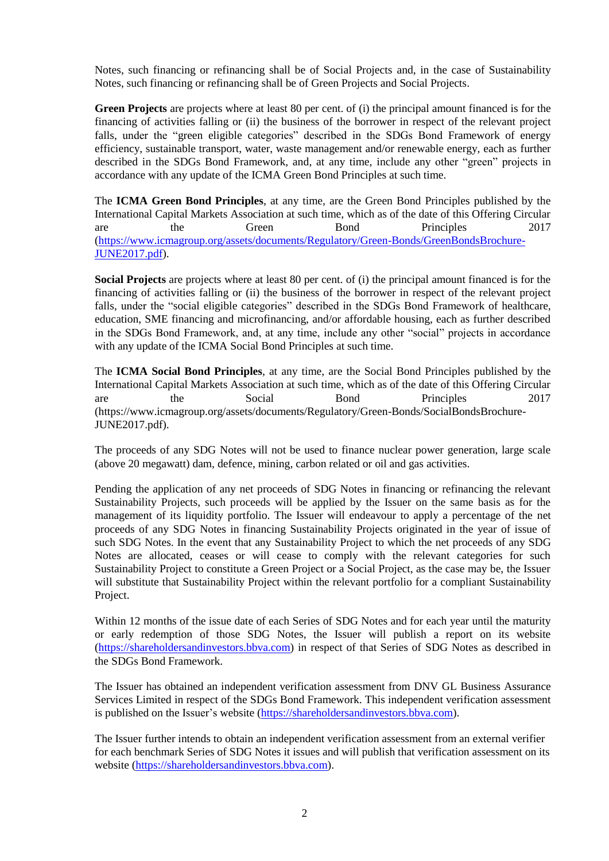Notes, such financing or refinancing shall be of Social Projects and, in the case of Sustainability Notes, such financing or refinancing shall be of Green Projects and Social Projects.

**Green Projects** are projects where at least 80 per cent. of (i) the principal amount financed is for the financing of activities falling or (ii) the business of the borrower in respect of the relevant project falls, under the "green eligible categories" described in the SDGs Bond Framework of energy efficiency, sustainable transport, water, waste management and/or renewable energy, each as further described in the SDGs Bond Framework, and, at any time, include any other "green" projects in accordance with any update of the ICMA Green Bond Principles at such time.

The **ICMA Green Bond Principles**, at any time, are the Green Bond Principles published by the International Capital Markets Association at such time, which as of the date of this Offering Circular are the Green Bond Principles 2017 [\(https://www.icmagroup.org/assets/documents/Regulatory/Green-Bonds/GreenBondsBrochure-](https://www.icmagroup.org/assets/documents/Regulatory/Green-Bonds/GreenBondsBrochure-JUNE2017.pdf)[JUNE2017.pdf\)](https://www.icmagroup.org/assets/documents/Regulatory/Green-Bonds/GreenBondsBrochure-JUNE2017.pdf).

**Social Projects** are projects where at least 80 per cent. of (i) the principal amount financed is for the financing of activities falling or (ii) the business of the borrower in respect of the relevant project falls, under the "social eligible categories" described in the SDGs Bond Framework of healthcare, education, SME financing and microfinancing, and/or affordable housing, each as further described in the SDGs Bond Framework, and, at any time, include any other "social" projects in accordance with any update of the ICMA Social Bond Principles at such time.

The **ICMA Social Bond Principles**, at any time, are the Social Bond Principles published by the International Capital Markets Association at such time, which as of the date of this Offering Circular are the Social Bond Principles 2017 (https://www.icmagroup.org/assets/documents/Regulatory/Green-Bonds/SocialBondsBrochure-JUNE2017.pdf).

The proceeds of any SDG Notes will not be used to finance nuclear power generation, large scale (above 20 megawatt) dam, defence, mining, carbon related or oil and gas activities.

Pending the application of any net proceeds of SDG Notes in financing or refinancing the relevant Sustainability Projects, such proceeds will be applied by the Issuer on the same basis as for the management of its liquidity portfolio. The Issuer will endeavour to apply a percentage of the net proceeds of any SDG Notes in financing Sustainability Projects originated in the year of issue of such SDG Notes. In the event that any Sustainability Project to which the net proceeds of any SDG Notes are allocated, ceases or will cease to comply with the relevant categories for such Sustainability Project to constitute a Green Project or a Social Project, as the case may be, the Issuer will substitute that Sustainability Project within the relevant portfolio for a compliant Sustainability Project.

Within 12 months of the issue date of each Series of SDG Notes and for each year until the maturity or early redemption of those SDG Notes, the Issuer will publish a report on its website [\(https://shareholdersandinvestors.bbva.com\)](https://shareholdersandinvestors.bbva.com/) in respect of that Series of SDG Notes as described in the SDGs Bond Framework.

The Issuer has obtained an independent verification assessment from DNV GL Business Assurance Services Limited in respect of the SDGs Bond Framework. This independent verification assessment is published on the Issuer's website [\(https://shareholdersandinvestors.bbva.com\)](https://shareholdersandinvestors.bbva.com/).

The Issuer further intends to obtain an independent verification assessment from an external verifier for each benchmark Series of SDG Notes it issues and will publish that verification assessment on its website [\(https://shareholdersandinvestors.bbva.com\)](https://shareholdersandinvestors.bbva.com/).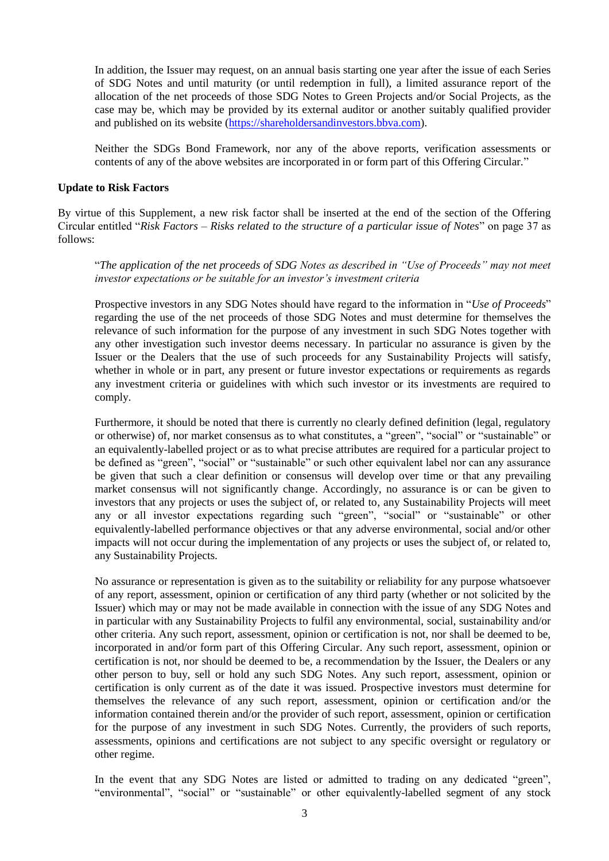In addition, the Issuer may request, on an annual basis starting one year after the issue of each Series of SDG Notes and until maturity (or until redemption in full), a limited assurance report of the allocation of the net proceeds of those SDG Notes to Green Projects and/or Social Projects, as the case may be, which may be provided by its external auditor or another suitably qualified provider and published on its website [\(https://shareholdersandinvestors.bbva.com\)](https://shareholdersandinvestors.bbva.com/).

Neither the SDGs Bond Framework, nor any of the above reports, verification assessments or contents of any of the above websites are incorporated in or form part of this Offering Circular."

#### **Update to Risk Factors**

By virtue of this Supplement, a new risk factor shall be inserted at the end of the section of the Offering Circular entitled "*Risk Factors – Risks related to the structure of a particular issue of Notes*" on page 37 as follows:

"*The application of the net proceeds of SDG Notes as described in "Use of Proceeds" may not meet investor expectations or be suitable for an investor's investment criteria*

Prospective investors in any SDG Notes should have regard to the information in "*Use of Proceeds*" regarding the use of the net proceeds of those SDG Notes and must determine for themselves the relevance of such information for the purpose of any investment in such SDG Notes together with any other investigation such investor deems necessary. In particular no assurance is given by the Issuer or the Dealers that the use of such proceeds for any Sustainability Projects will satisfy, whether in whole or in part, any present or future investor expectations or requirements as regards any investment criteria or guidelines with which such investor or its investments are required to comply.

Furthermore, it should be noted that there is currently no clearly defined definition (legal, regulatory or otherwise) of, nor market consensus as to what constitutes, a "green", "social" or "sustainable" or an equivalently-labelled project or as to what precise attributes are required for a particular project to be defined as "green", "social" or "sustainable" or such other equivalent label nor can any assurance be given that such a clear definition or consensus will develop over time or that any prevailing market consensus will not significantly change. Accordingly, no assurance is or can be given to investors that any projects or uses the subject of, or related to, any Sustainability Projects will meet any or all investor expectations regarding such "green", "social" or "sustainable" or other equivalently-labelled performance objectives or that any adverse environmental, social and/or other impacts will not occur during the implementation of any projects or uses the subject of, or related to, any Sustainability Projects.

No assurance or representation is given as to the suitability or reliability for any purpose whatsoever of any report, assessment, opinion or certification of any third party (whether or not solicited by the Issuer) which may or may not be made available in connection with the issue of any SDG Notes and in particular with any Sustainability Projects to fulfil any environmental, social, sustainability and/or other criteria. Any such report, assessment, opinion or certification is not, nor shall be deemed to be, incorporated in and/or form part of this Offering Circular. Any such report, assessment, opinion or certification is not, nor should be deemed to be, a recommendation by the Issuer, the Dealers or any other person to buy, sell or hold any such SDG Notes. Any such report, assessment, opinion or certification is only current as of the date it was issued. Prospective investors must determine for themselves the relevance of any such report, assessment, opinion or certification and/or the information contained therein and/or the provider of such report, assessment, opinion or certification for the purpose of any investment in such SDG Notes. Currently, the providers of such reports, assessments, opinions and certifications are not subject to any specific oversight or regulatory or other regime.

In the event that any SDG Notes are listed or admitted to trading on any dedicated "green", "environmental", "social" or "sustainable" or other equivalently-labelled segment of any stock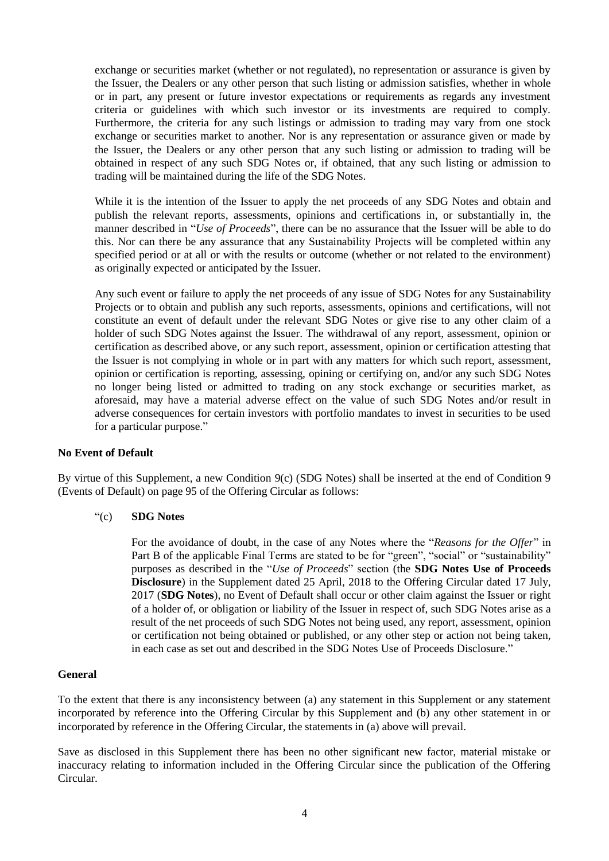exchange or securities market (whether or not regulated), no representation or assurance is given by the Issuer, the Dealers or any other person that such listing or admission satisfies, whether in whole or in part, any present or future investor expectations or requirements as regards any investment criteria or guidelines with which such investor or its investments are required to comply. Furthermore, the criteria for any such listings or admission to trading may vary from one stock exchange or securities market to another. Nor is any representation or assurance given or made by the Issuer, the Dealers or any other person that any such listing or admission to trading will be obtained in respect of any such SDG Notes or, if obtained, that any such listing or admission to trading will be maintained during the life of the SDG Notes.

While it is the intention of the Issuer to apply the net proceeds of any SDG Notes and obtain and publish the relevant reports, assessments, opinions and certifications in, or substantially in, the manner described in "*Use of Proceeds*", there can be no assurance that the Issuer will be able to do this. Nor can there be any assurance that any Sustainability Projects will be completed within any specified period or at all or with the results or outcome (whether or not related to the environment) as originally expected or anticipated by the Issuer.

Any such event or failure to apply the net proceeds of any issue of SDG Notes for any Sustainability Projects or to obtain and publish any such reports, assessments, opinions and certifications, will not constitute an event of default under the relevant SDG Notes or give rise to any other claim of a holder of such SDG Notes against the Issuer. The withdrawal of any report, assessment, opinion or certification as described above, or any such report, assessment, opinion or certification attesting that the Issuer is not complying in whole or in part with any matters for which such report, assessment, opinion or certification is reporting, assessing, opining or certifying on, and/or any such SDG Notes no longer being listed or admitted to trading on any stock exchange or securities market, as aforesaid, may have a material adverse effect on the value of such SDG Notes and/or result in adverse consequences for certain investors with portfolio mandates to invest in securities to be used for a particular purpose."

## **No Event of Default**

By virtue of this Supplement, a new Condition 9(c) (SDG Notes) shall be inserted at the end of Condition 9 (Events of Default) on page 95 of the Offering Circular as follows:

## "(c) **SDG Notes**

For the avoidance of doubt, in the case of any Notes where the "*Reasons for the Offer*" in Part B of the applicable Final Terms are stated to be for "green", "social" or "sustainability" purposes as described in the "*Use of Proceeds*" section (the **SDG Notes Use of Proceeds Disclosure**) in the Supplement dated 25 April, 2018 to the Offering Circular dated 17 July, 2017 (**SDG Notes**), no Event of Default shall occur or other claim against the Issuer or right of a holder of, or obligation or liability of the Issuer in respect of, such SDG Notes arise as a result of the net proceeds of such SDG Notes not being used, any report, assessment, opinion or certification not being obtained or published, or any other step or action not being taken, in each case as set out and described in the SDG Notes Use of Proceeds Disclosure."

## **General**

To the extent that there is any inconsistency between (a) any statement in this Supplement or any statement incorporated by reference into the Offering Circular by this Supplement and (b) any other statement in or incorporated by reference in the Offering Circular, the statements in (a) above will prevail.

Save as disclosed in this Supplement there has been no other significant new factor, material mistake or inaccuracy relating to information included in the Offering Circular since the publication of the Offering Circular.